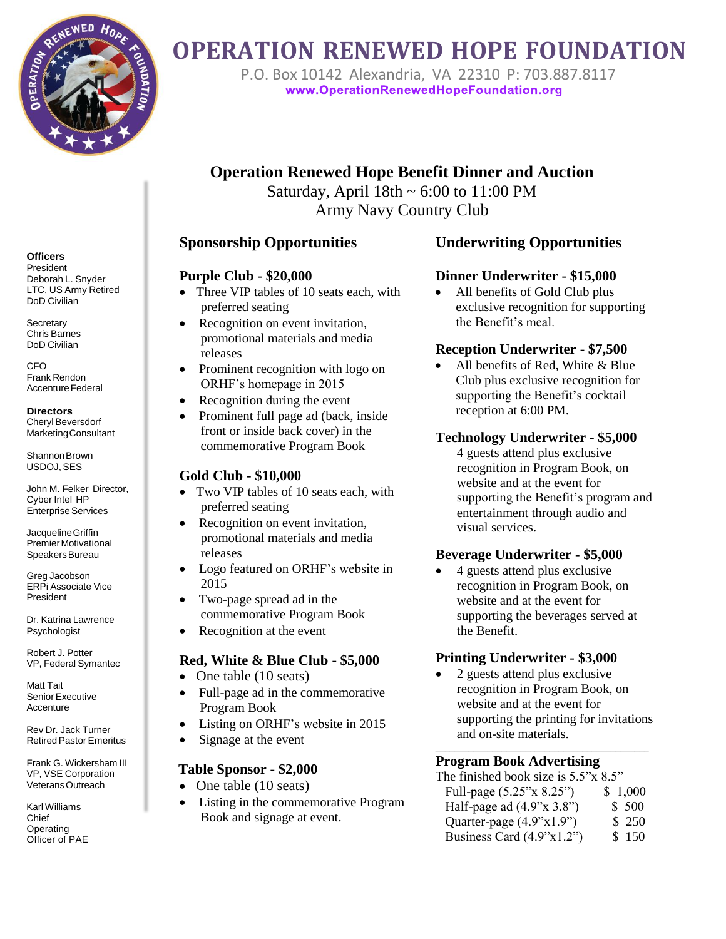

# **OPERATION RENEWED HOPE FOUNDATION**

P.O. Box 10142 [Alexandria,](http://www.operationrenewedhopefoundation.org/) VA 22310 P: 703.887.8117<br>www.OperationRenewedHopeFoundation.org

# **Operation Renewed Hope Benefit Dinner and Auction**

Saturday, April  $18th \sim 6:00$  to  $11:00$  PM Army Navy Country Club

#### **Sponsorship Opportunities**

#### **Purple Club - \$20,000**

- Three VIP tables of 10 seats each, with preferred seating
- Recognition on event invitation, promotional materials and media releases
- Prominent recognition with logo on ORHF's homepage in 2015
- Recognition during the event
- Prominent full page ad (back, inside front or inside back cover) in the commemorative Program Book

#### **Gold Club - \$10,000**

- Two VIP tables of 10 seats each, with preferred seating
- Recognition on event invitation, promotional materials and media releases
- Logo featured on ORHF's website in 2015
- Two-page spread ad in the commemorative Program Book
- Recognition at the event

### **Red, White & Blue Club - \$5,000**

- One table (10 seats)
- Full-page ad in the commemorative Program Book
- Listing on ORHF's website in 2015
- Signage at the event

#### **Table Sponsor - \$2,000**

- One table (10 seats)
- Listing in the commemorative Program Book and signage at event.

## **Underwriting Opportunities**

#### **Dinner Underwriter - \$15,000**

• All benefits of Gold Club plus exclusive recognition for supporting the Benefit's meal.

#### **Reception Underwriter - \$7,500**

 All benefits of Red, White & Blue Club plus exclusive recognition for supporting the Benefit's cocktail reception at 6:00 PM.

#### **Technology Underwriter - \$5,000**

4 guests attend plus exclusive recognition in Program Book, on website and at the event for supporting the Benefit's program and entertainment through audio and visual services.

#### **Beverage Underwriter - \$5,000**

• 4 guests attend plus exclusive recognition in Program Book, on website and at the event for supporting the beverages served at the Benefit.

#### **Printing Underwriter - \$3,000**

 2 guests attend plus exclusive recognition in Program Book, on website and at the event for supporting the printing for invitations and on-site materials.

**\_\_\_\_\_\_\_\_\_\_\_\_\_\_\_\_\_\_\_\_\_\_\_\_\_\_\_\_\_\_\_\_\_\_\_\_\_\_\_\_\_\_\_\_\_**

#### **Program Book Advertising**

| The finished book size is $5.5$ "x $8.5$ " |         |
|--------------------------------------------|---------|
| Full-page (5.25"x 8.25")                   | \$1,000 |
| Half-page ad $(4.9"x 3.8")$                | \$500   |
| Quarter-page (4.9"x1.9")                   | \$250   |
| Business Card $(4.9"x1.2")$                | \$150   |

#### **Officers**

President Deborah L. Snyder LTC, US Army Retired DoD Civilian

**Secretary** Chris Barnes DoD Civilian

CFO Frank Rendon Accenture Federal

#### **Directors** Cheryl Beversdorf

MarketingConsultant

Shannon Brown USDOJ, SES

John M. Felker Director, Cyber Intel HP Enterprise Services

JacquelineGriffin PremierMotivational Speakers Bureau

Greg Jacobson ERPi Associate Vice President

Dr. Katrina Lawrence Psychologist

Robert J. Potter VP, Federal Symantec

Matt Tait Senior Executive Accenture

Rev Dr. Jack Turner Retired Pastor Emeritus

Frank G. Wickersham III VP, VSE Corporation VeteransOutreach

Karl Williams Chief **Operating** Officer of PAE